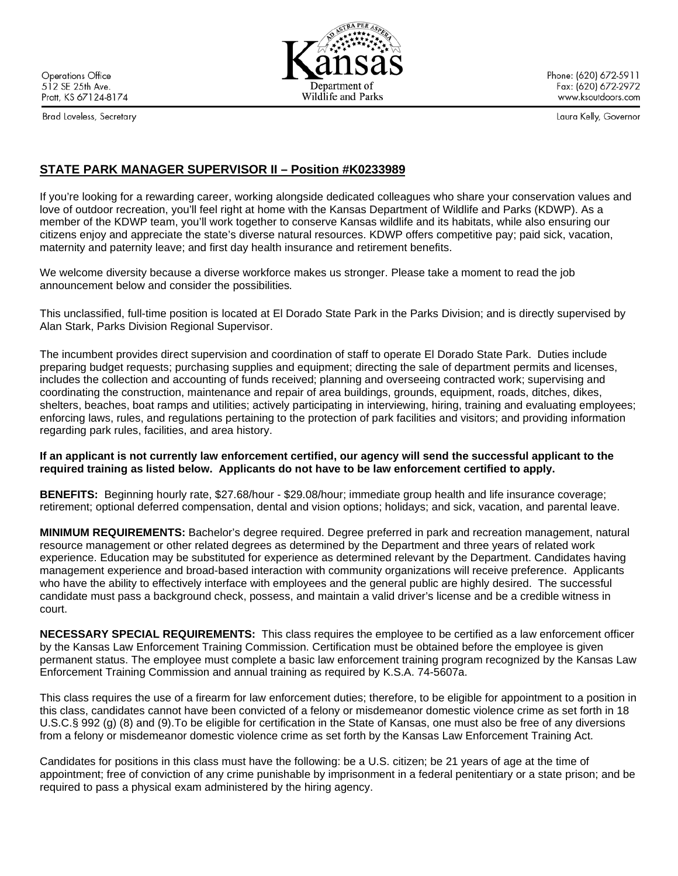**Operations Office** 512 SE 25th Ave. Pratt, KS 67124-8174

Brad Loveless, Secretary

Phone: (620) 672-5911 Fax: (620) 672-2972 www.ksoutdoors.com

Laura Kelly, Governor

# **STATE PARK MANAGER SUPERVISOR II – Position #K0233989**

If you're looking for a rewarding career, working alongside dedicated colleagues who share your conservation values and love of outdoor recreation, you'll feel right at home with the Kansas Department of Wildlife and Parks (KDWP). As a member of the KDWP team, you'll work together to conserve Kansas wildlife and its habitats, while also ensuring our citizens enjoy and appreciate the state's diverse natural resources. KDWP offers competitive pay; paid sick, vacation, maternity and paternity leave; and first day health insurance and retirement benefits.

We welcome diversity because a diverse workforce makes us stronger. Please take a moment to read the job announcement below and consider the possibilities*.*

This unclassified, full-time position is located at El Dorado State Park in the Parks Division; and is directly supervised by Alan Stark, Parks Division Regional Supervisor.

The incumbent provides direct supervision and coordination of staff to operate El Dorado State Park. Duties include preparing budget requests; purchasing supplies and equipment; directing the sale of department permits and licenses, includes the collection and accounting of funds received; planning and overseeing contracted work; supervising and coordinating the construction, maintenance and repair of area buildings, grounds, equipment, roads, ditches, dikes, shelters, beaches, boat ramps and utilities; actively participating in interviewing, hiring, training and evaluating employees; enforcing laws, rules, and regulations pertaining to the protection of park facilities and visitors; and providing information regarding park rules, facilities, and area history.

### **If an applicant is not currently law enforcement certified, our agency will send the successful applicant to the required training as listed below. Applicants do not have to be law enforcement certified to apply.**

**BENEFITS:** Beginning hourly rate, \$27.68/hour - \$29.08/hour; immediate group health and life insurance coverage; retirement; optional deferred compensation, dental and vision options; holidays; and sick, vacation, and parental leave.

**MINIMUM REQUIREMENTS:** Bachelor's degree required. Degree preferred in park and recreation management, natural resource management or other related degrees as determined by the Department and three years of related work experience. Education may be substituted for experience as determined relevant by the Department. Candidates having management experience and broad-based interaction with community organizations will receive preference. Applicants who have the ability to effectively interface with employees and the general public are highly desired. The successful candidate must pass a background check, possess, and maintain a valid driver's license and be a credible witness in court.

**NECESSARY SPECIAL REQUIREMENTS:** This class requires the employee to be certified as a law enforcement officer by the Kansas Law Enforcement Training Commission. Certification must be obtained before the employee is given permanent status. The employee must complete a basic law enforcement training program recognized by the Kansas Law Enforcement Training Commission and annual training as required by K.S.A. 74-5607a.

This class requires the use of a firearm for law enforcement duties; therefore, to be eligible for appointment to a position in this class, candidates cannot have been convicted of a felony or misdemeanor domestic violence crime as set forth in 18 U.S.C.§ 992 (g) (8) and (9).To be eligible for certification in the State of Kansas, one must also be free of any diversions from a felony or misdemeanor domestic violence crime as set forth by the Kansas Law Enforcement Training Act.

Candidates for positions in this class must have the following: be a U.S. citizen; be 21 years of age at the time of appointment; free of conviction of any crime punishable by imprisonment in a federal penitentiary or a state prison; and be required to pass a physical exam administered by the hiring agency.